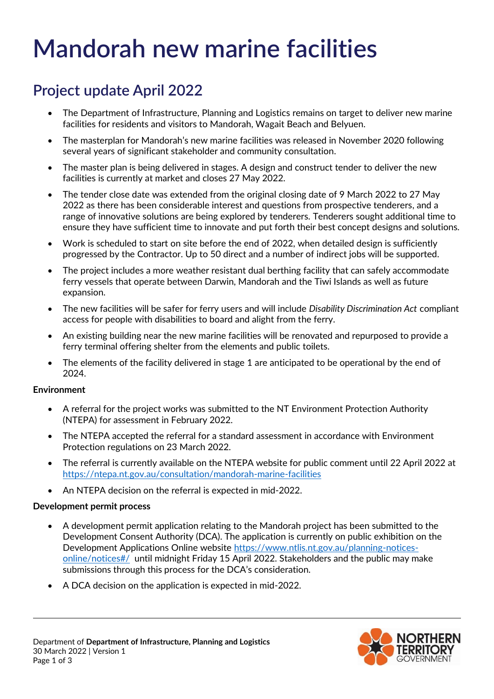# **Mandorah new marine facilities**

# **Project update April 2022**

- The Department of Infrastructure, Planning and Logistics remains on target to deliver new marine facilities for residents and visitors to Mandorah, Wagait Beach and Belyuen.
- The masterplan for Mandorah's new marine facilities was released in November 2020 following several years of significant stakeholder and community consultation.
- The master plan is being delivered in stages. A design and construct tender to deliver the new facilities is currently at market and closes 27 May 2022.
- The tender close date was extended from the original closing date of 9 March 2022 to 27 May 2022 as there has been considerable interest and questions from prospective tenderers, and a range of innovative solutions are being explored by tenderers. Tenderers sought additional time to ensure they have sufficient time to innovate and put forth their best concept designs and solutions.
- Work is scheduled to start on site before the end of 2022, when detailed design is sufficiently progressed by the Contractor. Up to 50 direct and a number of indirect jobs will be supported.
- The project includes a more weather resistant dual berthing facility that can safely accommodate ferry vessels that operate between Darwin, Mandorah and the Tiwi Islands as well as future expansion.
- The new facilities will be safer for ferry users and will include *Disability Discrimination Act* compliant access for people with disabilities to board and alight from the ferry.
- An existing building near the new marine facilities will be renovated and repurposed to provide a ferry terminal offering shelter from the elements and public toilets.
- The elements of the facility delivered in stage 1 are anticipated to be operational by the end of 2024.

# **Environment**

- A referral for the project works was submitted to the NT Environment Protection Authority (NTEPA) for assessment in February 2022.
- The NTEPA accepted the referral for a standard assessment in accordance with Environment Protection regulations on 23 March 2022.
- The referral is currently available on the NTEPA website for public comment until 22 April 2022 at <https://ntepa.nt.gov.au/consultation/mandorah-marine-facilities>
- An NTEPA decision on the referral is expected in mid-2022.

# **Development permit process**

- A development permit application relating to the Mandorah project has been submitted to the Development Consent Authority (DCA). The application is currently on public exhibition on the Development Applications Online website [https://www.ntlis.nt.gov.au/planning-notices](https://www.ntlis.nt.gov.au/planning-notices-online/notices#/)[online/notices#/](https://www.ntlis.nt.gov.au/planning-notices-online/notices#/) until midnight Friday 15 April 2022. Stakeholders and the public may make submissions through this process for the DCA's consideration.
- A DCA decision on the application is expected in mid-2022.

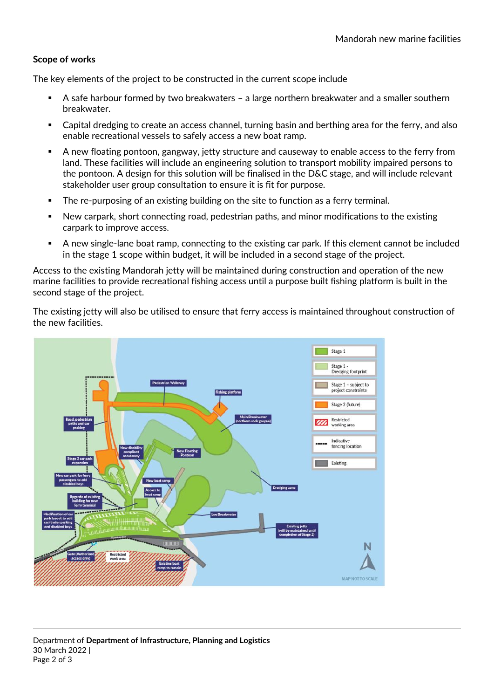#### **Scope of works**

The key elements of the project to be constructed in the current scope include

- A safe harbour formed by two breakwaters a large northern breakwater and a smaller southern breakwater.
- Capital dredging to create an access channel, turning basin and berthing area for the ferry, and also enable recreational vessels to safely access a new boat ramp.
- A new floating pontoon, gangway, jetty structure and causeway to enable access to the ferry from land. These facilities will include an engineering solution to transport mobility impaired persons to the pontoon. A design for this solution will be finalised in the D&C stage, and will include relevant stakeholder user group consultation to ensure it is fit for purpose.
- **The re-purposing of an existing building on the site to function as a ferry terminal.**
- New carpark, short connecting road, pedestrian paths, and minor modifications to the existing carpark to improve access.
- A new single-lane boat ramp, connecting to the existing car park. If this element cannot be included in the stage 1 scope within budget, it will be included in a second stage of the project.

Access to the existing Mandorah jetty will be maintained during construction and operation of the new marine facilities to provide recreational fishing access until a purpose built fishing platform is built in the second stage of the project.

The existing jetty will also be utilised to ensure that ferry access is maintained throughout construction of the new facilities.